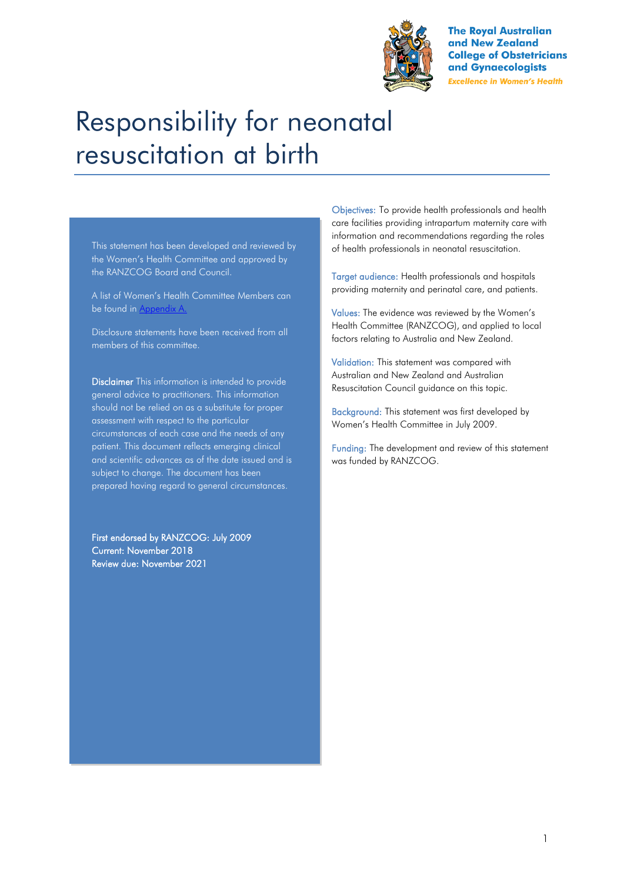

**The Royal Australian** and New Zealand **College of Obstetricians** and Gynaecologists **Excellence in Women's Health** 

# Responsibility for neonatal resuscitation at birth

This statement has been developed and reviewed by the Women's Health Committee and approved by the RANZCOG Board and Council.

A list of Women's Health Committee Members can be found in Appendix A.

Disclosure statements have been received from all members of this committee.

Disclaimer This information is intended to provide general advice to practitioners. This information should not be relied on as a substitute for proper assessment with respect to the particular circumstances of each case and the needs of any patient. This document reflects emerging clinical and scientific advances as of the date issued and is subject to change. The document has been prepared having regard to general circumstances.

First endorsed by RANZCOG: July 2009 Current: November 2018 Review due: November 2021

Objectives: To provide health professionals and health care facilities providing intrapartum maternity care with information and recommendations regarding the roles of health professionals in neonatal resuscitation.

Target audience: Health professionals and hospitals providing maternity and perinatal care, and patients.

Values: The evidence was reviewed by the Women's Health Committee (RANZCOG), and applied to local factors relating to Australia and New Zealand.

Validation: This statement was compared with Australian and New Zealand and Australian Resuscitation Council guidance on this topic.

Background: This statement was first developed by Women's Health Committee in July 2009.

Funding: The development and review of this statement was funded by RANZCOG.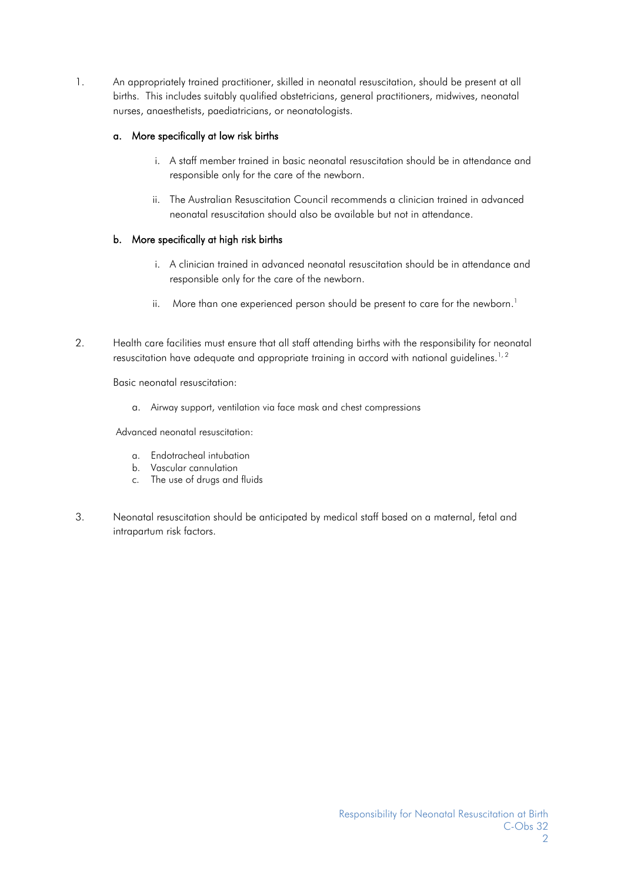1. An appropriately trained practitioner, skilled in neonatal resuscitation, should be present at all births. This includes suitably qualified obstetricians, general practitioners, midwives, neonatal nurses, anaesthetists, paediatricians, or neonatologists.

#### a. More specifically at low risk births

- i. A staff member trained in basic neonatal resuscitation should be in attendance and responsible only for the care of the newborn.
- ii. The Australian Resuscitation Council recommends a clinician trained in advanced neonatal resuscitation should also be available but not in attendance.

#### b. More specifically at high risk births

- i. A clinician trained in advanced neonatal resuscitation should be in attendance and responsible only for the care of the newborn.
- ii[.](#page-3-0) More than one experienced person should be present to care for the newborn.<sup>1</sup>
- 2. Health care facilities must ensure that all staff attending births with the responsibility for neonatal resuscitation have adequate and appropriate training in accord with national guidelines.<sup>[1,](#page-3-0)2</sup>

Basic neonatal resuscitation:

a. Airway support, ventilation via face mask and chest compressions

Advanced neonatal resuscitation:

- a. Endotracheal intubation
- b. Vascular cannulation
- c. The use of drugs and fluids
- 3. Neonatal resuscitation should be anticipated by medical staff based on a maternal, fetal and intrapartum risk factors.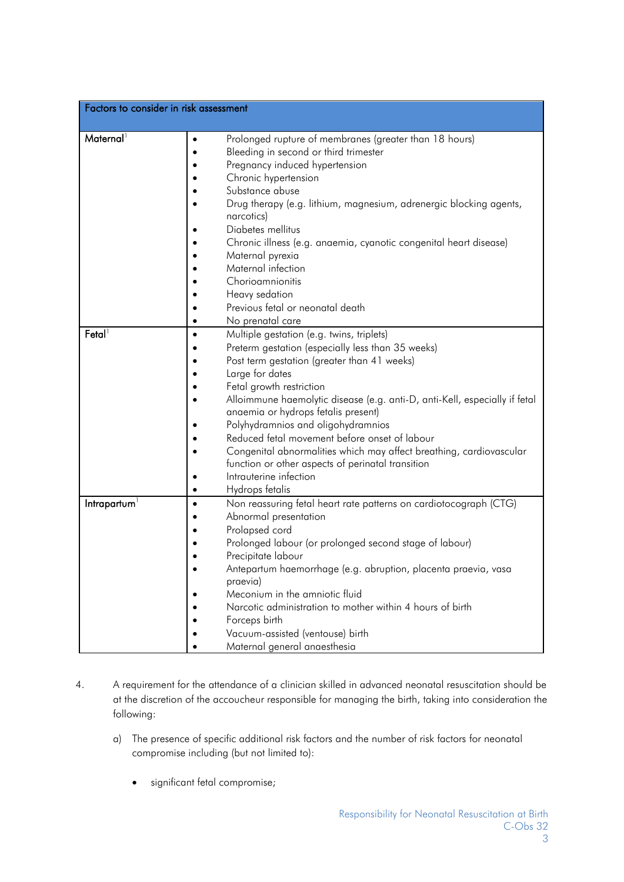| Factors to consider in risk assessment |                                                                                                                                                                                                                                                                                                                                                                                                                                                                                                                                                                                                |  |  |  |
|----------------------------------------|------------------------------------------------------------------------------------------------------------------------------------------------------------------------------------------------------------------------------------------------------------------------------------------------------------------------------------------------------------------------------------------------------------------------------------------------------------------------------------------------------------------------------------------------------------------------------------------------|--|--|--|
| Maternal <sup>1</sup>                  | Prolonged rupture of membranes (greater than 18 hours)<br>$\bullet$<br>Bleeding in second or third trimester<br>Pregnancy induced hypertension<br>Chronic hypertension<br>Substance abuse<br>Drug therapy (e.g. lithium, magnesium, adrenergic blocking agents,<br>narcotics)<br>Diabetes mellitus<br>Chronic illness (e.g. anaemia, cyanotic congenital heart disease)<br>Maternal pyrexia<br>Maternal infection<br>Chorioamnionitis<br>Heavy sedation                                                                                                                                        |  |  |  |
|                                        | Previous fetal or neonatal death<br>No prenatal care                                                                                                                                                                                                                                                                                                                                                                                                                                                                                                                                           |  |  |  |
| $F$ etal <sup>1</sup>                  | Multiple gestation (e.g. twins, triplets)<br>$\bullet$<br>Preterm gestation (especially less than 35 weeks)<br>Post term gestation (greater than 41 weeks)<br>Large for dates<br>Fetal growth restriction<br>Alloimmune haemolytic disease (e.g. anti-D, anti-Kell, especially if fetal<br>anaemia or hydrops fetalis present)<br>Polyhydramnios and oligohydramnios<br>Reduced fetal movement before onset of labour<br>Congenital abnormalities which may affect breathing, cardiovascular<br>function or other aspects of perinatal transition<br>Intrauterine infection<br>Hydrops fetalis |  |  |  |
| Intrapartum                            | Non reassuring fetal heart rate patterns on cardiotocograph (CTG)<br>$\bullet$<br>Abnormal presentation<br>Prolapsed cord<br>Prolonged labour (or prolonged second stage of labour)<br>Precipitate labour<br>Antepartum haemorrhage (e.g. abruption, placenta praevia, vasa<br>praevia)<br>Meconium in the amniotic fluid<br>Narcotic administration to mother within 4 hours of birth<br>Forceps birth<br>Vacuum-assisted (ventouse) birth<br>Maternal general anaesthesia                                                                                                                    |  |  |  |

- 4. A requirement for the attendance of a clinician skilled in advanced neonatal resuscitation should be at the discretion of the accoucheur responsible for managing the birth, taking into consideration the following:
	- a) The presence of specific additional risk factors and the number of risk factors for neonatal compromise including (but not limited to):
		- significant fetal compromise;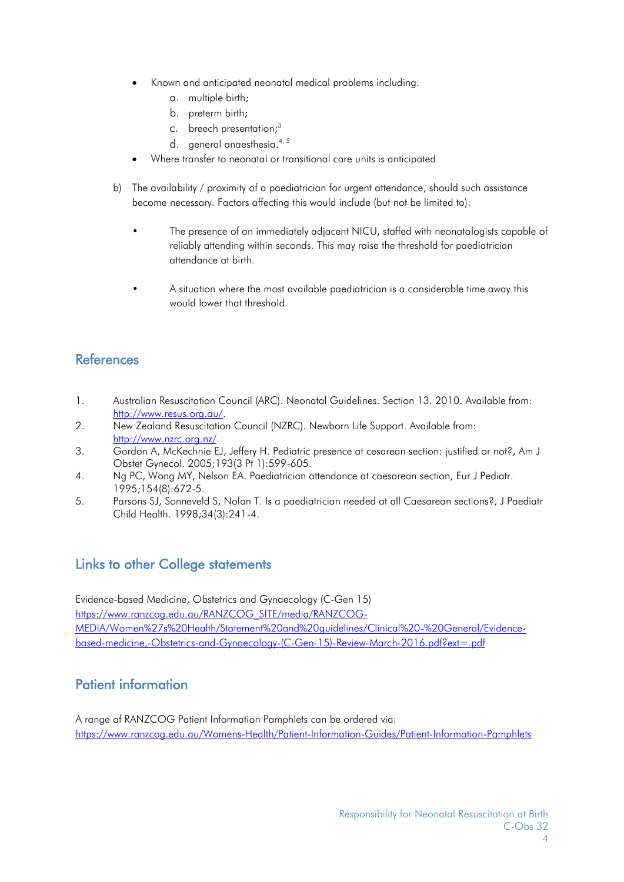- Known and anticipated neonatal medical problems including:
	- a. multiple birth;
	- b. preterm birth;
	- c. breech presentation[;](#page-3-2)<sup>3</sup>
	- d. general anaesthesia.<sup>[4,](#page-3-3)5</sup>
- Where transfer to neonatal or transitional care units is anticipated
- b) The availability / proximity of a paediatrician for urgent attendance, should such assistance become necessary. Factors affecting this would include (but not be limited to):
	- The presence of an immediately adjacent NICU, staffed with neonatologists capable of reliably attending within seconds. This may raise the threshold for paediatrician attendance at birth.
	- A situation where the most available paediatrician is a considerable time away this would lower that threshold.

## **References**

- <span id="page-3-0"></span>1. Australian Resuscitation Council (ARC). Neonatal Guidelines. Section 13. 2010. Available from: [http://www.resus.org.au/.](http://www.resus.org.au/)
- <span id="page-3-1"></span>2. New Zealand Resuscitation Council (NZRC). Newborn Life Support. Available from: [http://www.nzrc.org.nz/.](http://www.nzrc.org.nz/)
- <span id="page-3-2"></span>3. Gordon A, McKechnie EJ, Jeffery H. Pediatric presence at cesarean section: justified or not?, Am J Obstet Gynecol. 2005;193(3 Pt 1):599-605.
- <span id="page-3-3"></span>4. Ng PC, Wong MY, Nelson EA. Paediatrician attendance at caesarean section, Eur J Pediatr. 1995;154(8):672-5.
- <span id="page-3-4"></span>5. Parsons SJ, Sonneveld S, Nolan T. Is a paediatrician needed at all Caesarean sections?, J Paediatr Child Health. 1998;34(3):241-4.

## Links to other College statements

Evidence-based Medicine, Obstetrics and Gynaecology (C-Gen 15) [https://www.ranzcog.edu.au/RANZCOG\\_SITE/media/RANZCOG-](https://www.ranzcog.edu.au/RANZCOG_SITE/media/RANZCOG-MEDIA/Women%27s%20Health/Statement%20and%20guidelines/Clinical%20-%20General/Evidence-based-medicine,-Obstetrics-and-Gynaecology-(C-Gen-15)-Review-March-2016.pdf?ext=.pdf)[MEDIA/Women%27s%20Health/Statement%20and%20guidelines/Clinical%20-%20General/Evidence](https://www.ranzcog.edu.au/RANZCOG_SITE/media/RANZCOG-MEDIA/Women%27s%20Health/Statement%20and%20guidelines/Clinical%20-%20General/Evidence-based-medicine,-Obstetrics-and-Gynaecology-(C-Gen-15)-Review-March-2016.pdf?ext=.pdf)[based-medicine,-Obstetrics-and-Gynaecology-\(C-Gen-15\)-Review-March-2016.pdf?ext=.pdf](https://www.ranzcog.edu.au/RANZCOG_SITE/media/RANZCOG-MEDIA/Women%27s%20Health/Statement%20and%20guidelines/Clinical%20-%20General/Evidence-based-medicine,-Obstetrics-and-Gynaecology-(C-Gen-15)-Review-March-2016.pdf?ext=.pdf)

## Patient information

A range of RANZCOG Patient Information Pamphlets can be ordered via: <https://www.ranzcog.edu.au/Womens-Health/Patient-Information-Guides/Patient-Information-Pamphlets>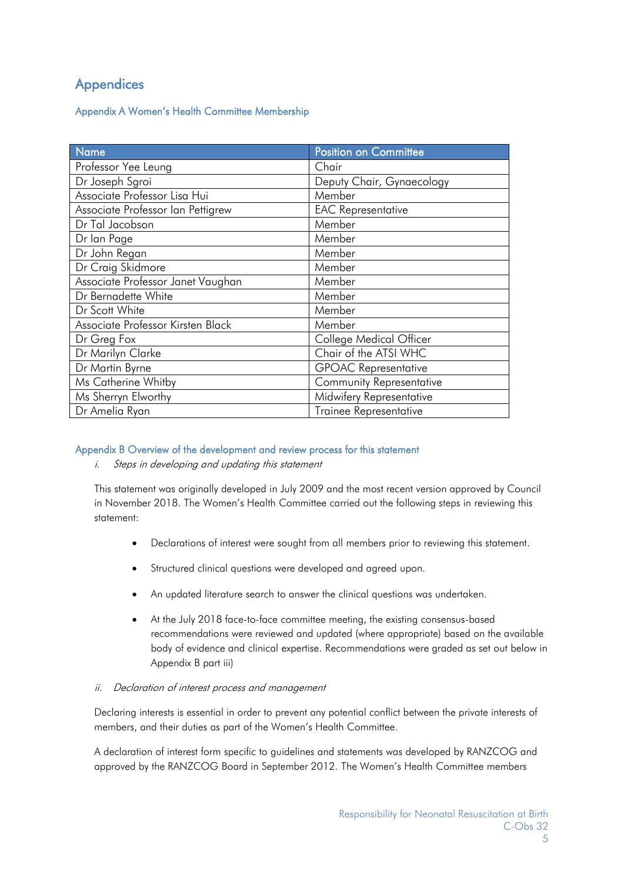## **Appendices**

#### Appendix A Women's Health Committee Membership

| Name                              | Position on Committee           |
|-----------------------------------|---------------------------------|
| Professor Yee Leung               | Chair                           |
| Dr Joseph Sgroi                   | Deputy Chair, Gynaecology       |
| Associate Professor Lisa Hui      | Member                          |
| Associate Professor Ian Pettigrew | <b>EAC Representative</b>       |
| Dr Tal Jacobson                   | Member                          |
| Dr lan Page                       | Member                          |
| Dr John Regan                     | Member                          |
| Dr Craig Skidmore                 | Member                          |
| Associate Professor Janet Vaughan | Member                          |
| Dr Bernadette White               | Member                          |
| Dr Scott White                    | Member                          |
| Associate Professor Kirsten Black | Member                          |
| Dr Greg Fox                       | College Medical Officer         |
| Dr Marilyn Clarke                 | Chair of the ATSI WHC           |
| Dr Martin Byrne                   | <b>GPOAC Representative</b>     |
| Ms Catherine Whitby               | <b>Community Representative</b> |
| Ms Sherryn Elworthy               | Midwifery Representative        |
| Dr Amelia Ryan                    | <b>Trainee Representative</b>   |

#### Appendix B Overview of the development and review process for this statement

#### i. Steps in developing and updating this statement

This statement was originally developed in July 2009 and the most recent version approved by Council in November 2018. The Women's Health Committee carried out the following steps in reviewing this statement:

- Declarations of interest were sought from all members prior to reviewing this statement.
- Structured clinical questions were developed and agreed upon.
- An updated literature search to answer the clinical questions was undertaken.
- At the July 2018 face-to-face committee meeting, the existing consensus-based recommendations were reviewed and updated (where appropriate) based on the available body of evidence and clinical expertise. Recommendations were graded as set out below in Appendix B part iii)

#### ii. Declaration of interest process and management

Declaring interests is essential in order to prevent any potential conflict between the private interests of members, and their duties as part of the Women's Health Committee.

A declaration of interest form specific to guidelines and statements was developed by RANZCOG and approved by the RANZCOG Board in September 2012. The Women's Health Committee members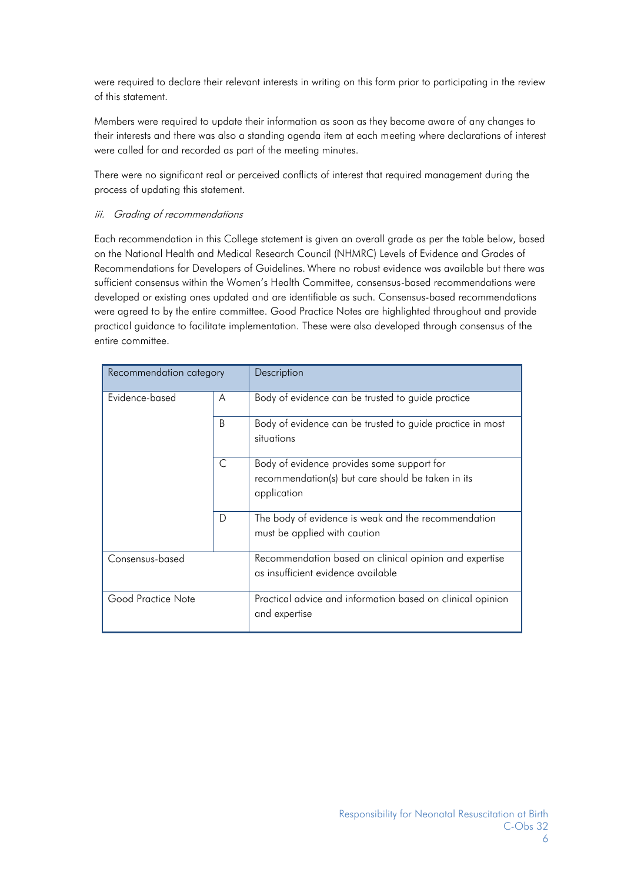were required to declare their relevant interests in writing on this form prior to participating in the review of this statement.

Members were required to update their information as soon as they become aware of any changes to their interests and there was also a standing agenda item at each meeting where declarations of interest were called for and recorded as part of the meeting minutes.

There were no significant real or perceived conflicts of interest that required management during the process of updating this statement.

#### iii. Grading of recommendations

Each recommendation in this College statement is given an overall grade as per the table below, based on the National Health and Medical Research Council (NHMRC) Levels of Evidence and Grades of Recommendations for Developers of Guidelines. Where no robust evidence was available but there was sufficient consensus within the Women's Health Committee, consensus-based recommendations were developed or existing ones updated and are identifiable as such. Consensus-based recommendations were agreed to by the entire committee. Good Practice Notes are highlighted throughout and provide practical guidance to facilitate implementation. These were also developed through consensus of the entire committee.

| Recommendation category |    | Description                                                                                                    |
|-------------------------|----|----------------------------------------------------------------------------------------------------------------|
| Evidence-based          | A  | Body of evidence can be trusted to guide practice                                                              |
|                         | B. | Body of evidence can be trusted to guide practice in most<br>situations                                        |
|                         | C  | Body of evidence provides some support for<br>recommendation(s) but care should be taken in its<br>application |
|                         | D  | The body of evidence is weak and the recommendation<br>must be applied with caution                            |
| Consensus-based         |    | Recommendation based on clinical opinion and expertise<br>as insufficient evidence available                   |
| Good Practice Note      |    | Practical advice and information based on clinical opinion<br>and expertise                                    |